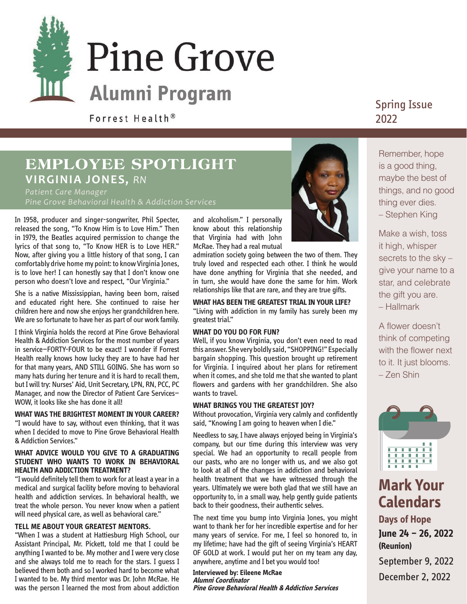

Forrest Health<sup>®</sup>

### **EMPLOYEE SPOTLIGHT VIRGINIA JONES,** *RN*

*Patient Care Manager Pine Grove Behavioral Health & Addiction Services*

In 1958, producer and singer-songwriter, Phil Specter, released the song, "To Know Him is to Love Him." Then in 1979, the Beatles acquired permission to change the lyrics of that song to, "To Know HER is to Love HER." Now, after giving you a little history of that song, I can comfortably drive home my point: to know Virginia Jones, is to love her! I can honestly say that I don't know one person who doesn't love and respect, "Our Virginia."

She is a native Mississippian, having been born, raised and educated right here. She continued to raise her children here and now she enjoys her grandchildren here. We are so fortunate to have her as part of our work family.

I think Virginia holds the record at Pine Grove Behavioral Health & Addiction Services for the most number of years in service—FORTY-FOUR to be exact! I wonder if Forrest Health really knows how lucky they are to have had her for that many years, AND STILL GOING. She has worn so many hats during her tenure and it is hard to recall them, but I will try: Nurses' Aid, Unit Secretary, LPN, RN, PCC, PC Manager, and now the Director of Patient Care Services— WOW, it looks like she has done it all!

#### **WHAT WAS THE BRIGHTEST MOMENT IN YOUR CAREER?**

"I would have to say, without even thinking, that it was when I decided to move to Pine Grove Behavioral Health & Addiction Services."

### **WHAT ADVICE WOULD YOU GIVE TO A GRADUATING STUDENT WHO WANTS TO WORK IN BEHAVIORAL HEALTH AND ADDICTION TREATMENT?**

"I would definitely tell them to work for at least a year in a medical and surgical facility before moving to behavioral health and addiction services. In behavioral health, we treat the whole person. You never know when a patient will need physical care, as well as behavioral care."

### **TELL ME ABOUT YOUR GREATEST MENTORS.**

"When I was a student at Hattiesburg High School, our Assistant Principal, Mr. Pickett, told me that I could be anything I wanted to be. My mother and I were very close and she always told me to reach for the stars. I guess I believed them both and so I worked hard to become what I wanted to be. My third mentor was Dr. John McRae. He was the person I learned the most from about addiction and alcoholism." I personally know about this relationship that Virginia had with John McRae. They had a real mutual



admiration society going between the two of them. They truly loved and respected each other. I think he would have done anything for Virginia that she needed, and in turn, she would have done the same for him. Work relationships like that are rare, and they are true gifts.

#### **WHAT HAS BEEN THE GREATEST TRIAL IN YOUR LIFE?**

"Living with addiction in my family has surely been my greatest trial."

### **WHAT DO YOU DO FOR FUN?**

Well, if you know Virginia, you don't even need to read this answer. She very boldly said, "SHOPPING!" Especially bargain shopping. This question brought up retirement for Virginia. I inquired about her plans for retirement when it comes, and she told me that she wanted to plant flowers and gardens with her grandchildren. She also wants to travel.

#### **WHAT BRINGS YOU THE GREATEST JOY?**

Without provocation, Virginia very calmly and confidently said, "Knowing I am going to heaven when I die."

Needless to say, I have always enjoyed being in Virginia's company, but our time during this interview was very special. We had an opportunity to recall people from our pasts, who are no longer with us, and we also got to look at all of the changes in addiction and behavioral health treatment that we have witnessed through the years. Ultimately we were both glad that we still have an opportunity to, in a small way, help gently guide patients back to their goodness, their authentic selves.

The next time you bump into Virginia Jones, you might want to thank her for her incredible expertise and for her many years of service. For me, I feel so honored to, in my lifetime; have had the gift of seeing Virginia's HEART OF GOLD at work. I would put her on my team any day, anywhere, anytime and I bet you would too!

**Interviewed by: Eileene McRae Alumni Coordinator Pine Grove Behavioral Health & Addiction Services**

### Spring Issue 2022

Remember, hope is a good thing, maybe the best of things, and no good thing ever dies. – Stephen King

Make a wish, toss it high, whisper secrets to the sky – give your name to a star, and celebrate the gift you are. – Hallmark

A flower doesn't think of competing with the flower next to it. It just blooms. – Zen Shin



### **Mark Your Calendars Days of Hope**

**June 24 – 26, 2022 (Reunion)** 

September 9, 2022 December 2, 2022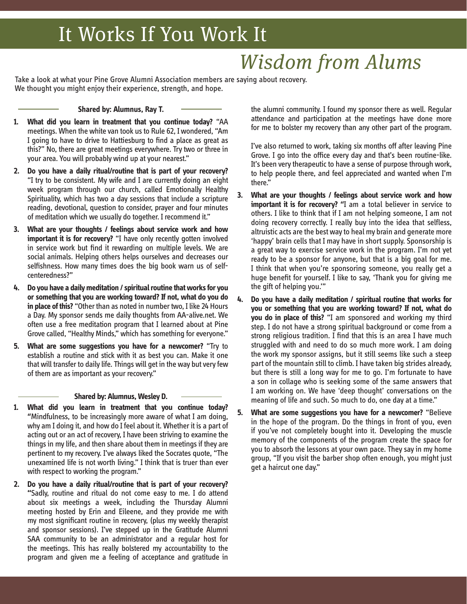# It Works If You Work It

# *Wisdom from Alums*

Take a look at what your Pine Grove Alumni Association members are saying about recovery. We thought you might enjoy their experience, strength, and hope.

### **Shared by: Alumnus, Ray T.**

- **1. What did you learn in treatment that you continue today?** "AA meetings. When the white van took us to Rule 62, I wondered, "Am I going to have to drive to Hattiesburg to find a place as great as this?" No, there are great meetings everywhere. Try two or three in your area. You will probably wind up at your nearest."
- **2. Do you have a daily ritual/routine that is part of your recovery?** "I try to be consistent. My wife and I are currently doing an eight week program through our church, called Emotionally Healthy Spirituality, which has two a day sessions that include a scripture reading, devotional, question to consider, prayer and four minutes of meditation which we usually do together. I recommend it."
- **3. What are your thoughts / feelings about service work and how important it is for recovery?** "I have only recently gotten involved in service work but find it rewarding on multiple levels. We are social animals. Helping others helps ourselves and decreases our selfishness. How many times does the big book warn us of selfcenteredness?"
- **4. Do you have a daily meditation / spiritual routine that works for you or something that you are working toward? If not, what do you do in place of this?** "Other than as noted in number two, I like 24 Hours a Day. My sponsor sends me daily thoughts from AA-alive.net. We often use a free meditation program that I learned about at Pine Grove called, "Healthy Minds," which has something for everyone."
- **5. What are some suggestions you have for a newcomer?** "Try to establish a routine and stick with it as best you can. Make it one that will transfer to daily life. Things will get in the way but very few of them are as important as your recovery."

#### **Shared by: Alumnus, Wesley D.**

- **1. What did you learn in treatment that you continue today? "**Mindfulness, to be increasingly more aware of what I am doing, why am I doing it, and how do I feel about it. Whether it is a part of acting out or an act of recovery, I have been striving to examine the things in my life, and then share about them in meetings if they are pertinent to my recovery. I've always liked the Socrates quote, "The unexamined life is not worth living." I think that is truer than ever with respect to working the program."
- **2. Do you have a daily ritual/routine that is part of your recovery? "**Sadly, routine and ritual do not come easy to me. I do attend about six meetings a week, including the Thursday Alumni meeting hosted by Erin and Eileene, and they provide me with my most significant routine in recovery, (plus my weekly therapist and sponsor sessions). I've stepped up in the Gratitude Alumni SAA community to be an administrator and a regular host for the meetings. This has really bolstered my accountability to the program and given me a feeling of acceptance and gratitude in

the alumni community. I found my sponsor there as well. Regular attendance and participation at the meetings have done more for me to bolster my recovery than any other part of the program.

I've also returned to work, taking six months off after leaving Pine Grove. I go into the office every day and that's been routine-like. It's been very therapeutic to have a sense of purpose through work, to help people there, and feel appreciated and wanted when I'm there."

- **3. What are your thoughts / feelings about service work and how important it is for recovery? "**I am a total believer in service to others. I like to think that if I am not helping someone, I am not doing recovery correctly. I really buy into the idea that selfless, altruistic acts are the best way to heal my brain and generate more 'happy' brain cells that I may have in short supply. Sponsorship is a great way to exercise service work in the program. I'm not yet ready to be a sponsor for anyone, but that is a big goal for me. I think that when you're sponsoring someone, you really get a huge benefit for yourself. I like to say, 'Thank you for giving me the gift of helping you.'"
- **4. Do you have a daily meditation / spiritual routine that works for you or something that you are working toward? If not, what do you do in place of this?** "I am sponsored and working my third step. I do not have a strong spiritual background or come from a strong religious tradition. I find that this is an area I have much struggled with and need to do so much more work. I am doing the work my sponsor assigns, but it still seems like such a steep part of the mountain still to climb. I have taken big strides already, but there is still a long way for me to go. I'm fortunate to have a son in collage who is seeking some of the same answers that I am working on. We have 'deep thought' conversations on the meaning of life and such. So much to do, one day at a time."
- **5. What are some suggestions you have for a newcomer?** "Believe in the hope of the program. Do the things in front of you, even if you've not completely bought into it. Developing the muscle memory of the components of the program create the space for you to absorb the lessons at your own pace. They say in my home group, "If you visit the barber shop often enough, you might just get a haircut one day."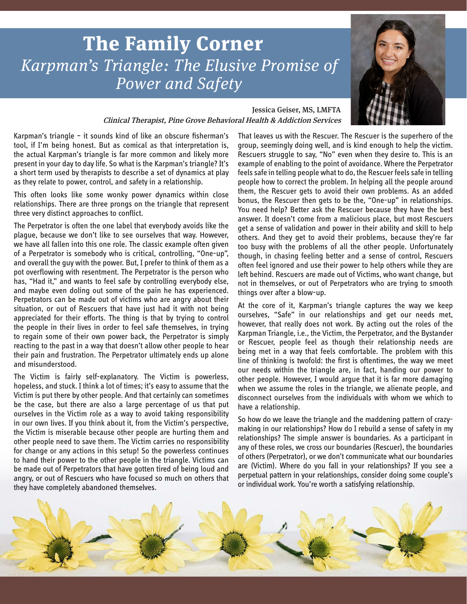# **The Family Corner** *Karpman's Triangle: The Elusive Promise of Power and Safety*



### Jessica Geiser, MS, LMFTA Clinical Therapist, Pine Grove Behavioral Health & Addiction Services

Karpman's triangle – it sounds kind of like an obscure fisherman's tool, if I'm being honest. But as comical as that interpretation is, the actual Karpman's triangle is far more common and likely more present in your day to day life. So what is the Karpman's triangle? It's a short term used by therapists to describe a set of dynamics at play as they relate to power, control, and safety in a relationship.

This often looks like some wonky power dynamics within close relationships. There are three prongs on the triangle that represent three very distinct approaches to conflict.

The Perpetrator is often the one label that everybody avoids like the plague, because we don't like to see ourselves that way. However, we have all fallen into this one role. The classic example often given of a Perpetrator is somebody who is critical, controlling, "One-up", and overall the guy with the power. But, I prefer to think of them as a pot overflowing with resentment. The Perpetrator is the person who has, "Had it," and wants to feel safe by controlling everybody else, and maybe even doling out some of the pain he has experienced. Perpetrators can be made out of victims who are angry about their situation, or out of Rescuers that have just had it with not being appreciated for their efforts. The thing is that by trying to control the people in their lives in order to feel safe themselves, in trying to regain some of their own power back, the Perpetrator is simply reacting to the past in a way that doesn't allow other people to hear their pain and frustration. The Perpetrator ultimately ends up alone and misunderstood.

The Victim is fairly self-explanatory. The Victim is powerless, hopeless, and stuck. I think a lot of times; it's easy to assume that the Victim is put there by other people. And that certainly can sometimes be the case, but there are also a large percentage of us that put ourselves in the Victim role as a way to avoid taking responsibility in our own lives. If you think about it, from the Victim's perspective, the Victim is miserable because other people are hurting them and other people need to save them. The Victim carries no responsibility for change or any actions in this setup! So the powerless continues to hand their power to the other people in the triangle. Victims can be made out of Perpetrators that have gotten tired of being loud and angry, or out of Rescuers who have focused so much on others that they have completely abandoned themselves.

That leaves us with the Rescuer. The Rescuer is the superhero of the group, seemingly doing well, and is kind enough to help the victim. Rescuers struggle to say, "No" even when they desire to. This is an example of enabling to the point of avoidance. Where the Perpetrator feels safe in telling people what to do, the Rescuer feels safe in telling people how to correct the problem. In helping all the people around them, the Rescuer gets to avoid their own problems. As an added bonus, the Rescuer then gets to be the, "One-up" in relationships. You need help? Better ask the Rescuer because they have the best answer. It doesn't come from a malicious place, but most Rescuers get a sense of validation and power in their ability and skill to help others. And they get to avoid their problems, because they're far too busy with the problems of all the other people. Unfortunately though, in chasing feeling better and a sense of control, Rescuers often feel ignored and use their power to help others while they are left behind. Rescuers are made out of Victims, who want change, but not in themselves, or out of Perpetrators who are trying to smooth things over after a blow-up.

At the core of it, Karpman's triangle captures the way we keep ourselves, "Safe" in our relationships and get our needs met, however, that really does not work. By acting out the roles of the Karpman Triangle, i.e., the Victim, the Perpetrator, and the Bystander or Rescuer, people feel as though their relationship needs are being met in a way that feels comfortable. The problem with this line of thinking is twofold: the first is oftentimes, the way we meet our needs within the triangle are, in fact, handing our power to other people. However, I would argue that it is far more damaging when we assume the roles in the triangle, we alienate people, and disconnect ourselves from the individuals with whom we which to have a relationship.

So how do we leave the triangle and the maddening pattern of crazymaking in our relationships? How do I rebuild a sense of safety in my relationships? The simple answer is boundaries. As a participant in any of these roles, we cross our boundaries (Rescuer), the boundaries of others (Perpetrator), or we don't communicate what our boundaries are (Victim). Where do you fall in your relationships? If you see a perpetual pattern in your relationships, consider doing some couple's or individual work. You're worth a satisfying relationship.

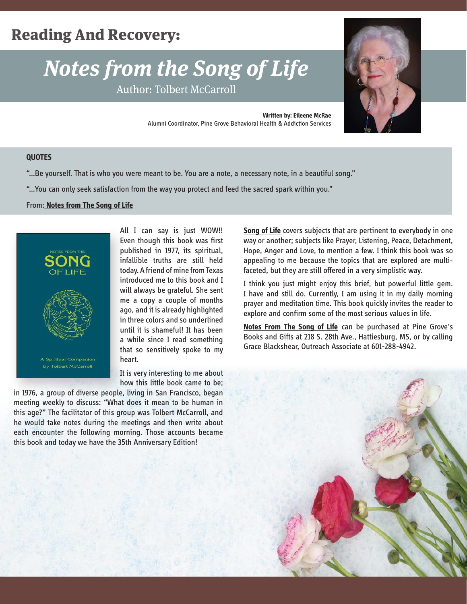# Reading And Recovery:

# *Notes from the Song of Life*

Author: Tolbert McCarroll



**Written by: Eileene McRae** Alumni Coordinator, Pine Grove Behavioral Health & Addiction Services

### **QUOTES**

"…Be yourself. That is who you were meant to be. You are a note, a necessary note, in a beautiful song."

"…You can only seek satisfaction from the way you protect and feed the sacred spark within you."

#### From: **Notes from The Song of Life**



All I can say is just WOW!! Even though this book was first published in 1977, its spiritual, infallible truths are still held today. A friend of mine from Texas introduced me to this book and I will always be grateful. She sent me a copy a couple of months ago, and it is already highlighted in three colors and so underlined until it is shameful! It has been a while since I read something that so sensitively spoke to my heart.

It is very interesting to me about how this little book came to be;

in 1976, a group of diverse people, living in San Francisco, began meeting weekly to discuss: "What does it mean to be human in this age?" The facilitator of this group was Tolbert McCarroll, and he would take notes during the meetings and then write about each encounter the following morning. Those accounts became this book and today we have the 35th Anniversary Edition!

**Song of Life** covers subjects that are pertinent to everybody in one way or another; subjects like Prayer, Listening, Peace, Detachment, Hope, Anger and Love, to mention a few. I think this book was so appealing to me because the topics that are explored are multifaceted, but they are still offered in a very simplistic way.

I think you just might enjoy this brief, but powerful little gem. I have and still do. Currently, I am using it in my daily morning prayer and meditation time. This book quickly invites the reader to explore and confirm some of the most serious values in life.

**Notes From The Song of Life** can be purchased at Pine Grove's Books and Gifts at 218 S. 28th Ave., Hattiesburg, MS, or by calling Grace Blackshear, Outreach Associate at 601-288-4942.